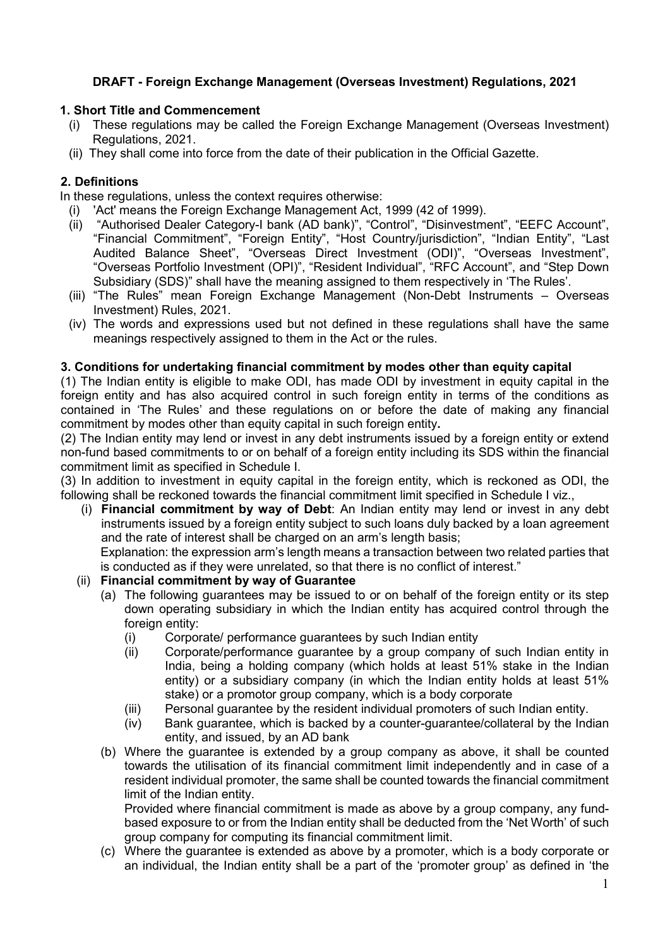# **DRAFT - Foreign Exchange Management (Overseas Investment) Regulations, 2021**

### **1. Short Title and Commencement**

- (i) These regulations may be called the Foreign Exchange Management (Overseas Investment) Regulations, 2021.
- (ii) They shall come into force from the date of their publication in the Official Gazette.

## **2. Definitions**

In these regulations, unless the context requires otherwise:

- (i) 'Act' means the [Foreign Exchange Management Act, 1999 \(](http://172.31.13.51/kmt/GetDocument.asp?PageRef=ecm/fema.htm)42 of 1999).
- (ii) "Authorised Dealer Category-I bank (AD bank)", "Control", "Disinvestment", "EEFC Account", "Financial Commitment", "Foreign Entity", "Host Country/jurisdiction", "Indian Entity", "Last Audited Balance Sheet", "Overseas Direct Investment (ODI)", "Overseas Investment", "Overseas Portfolio Investment (OPI)", "Resident Individual", "RFC Account", and "Step Down Subsidiary (SDS)" shall have the meaning assigned to them respectively in 'The Rules'.
- (iii) "The Rules" mean Foreign Exchange Management (Non-Debt Instruments Overseas Investment) Rules, 2021.
- (iv) The words and expressions used but not defined in these regulations shall have the same meanings respectively assigned to them in the Act or the rules.

### **3. Conditions for undertaking financial commitment by modes other than equity capital**

(1) The Indian entity is eligible to make ODI, has made ODI by investment in equity capital in the foreign entity and has also acquired control in such foreign entity in terms of the conditions as contained in 'The Rules' and these regulations on or before the date of making any financial commitment by modes other than equity capital in such foreign entity**.**

(2) The Indian entity may lend or invest in any debt instruments issued by a foreign entity or extend non-fund based commitments to or on behalf of a foreign entity including its SDS within the financial commitment limit as specified in Schedule I.

(3) In addition to investment in equity capital in the foreign entity, which is reckoned as ODI, the following shall be reckoned towards the financial commitment limit specified in Schedule I viz.,

(i) **Financial commitment by way of Debt**: An Indian entity may lend or invest in any debt instruments issued by a foreign entity subject to such loans duly backed by a loan agreement and the rate of interest shall be charged on an arm's length basis;

Explanation: the expression arm's length means a transaction between two related parties that is conducted as if they were unrelated, so that there is no conflict of interest."

### (ii) **Financial commitment by way of Guarantee**

- (a) The following guarantees may be issued to or on behalf of the foreign entity or its step down operating subsidiary in which the Indian entity has acquired control through the foreign entity:
	- (i) Corporate/ performance guarantees by such Indian entity
	- (ii) Corporate/performance guarantee by a group company of such Indian entity in India, being a holding company (which holds at least 51% stake in the Indian entity) or a subsidiary company (in which the Indian entity holds at least 51% stake) or a promotor group company, which is a body corporate
	- (iii) Personal guarantee by the resident individual promoters of such Indian entity.
	- (iv) Bank guarantee, which is backed by a counter-guarantee/collateral by the Indian entity, and issued, by an AD bank
- (b) Where the guarantee is extended by a group company as above, it shall be counted towards the utilisation of its financial commitment limit independently and in case of a resident individual promoter, the same shall be counted towards the financial commitment limit of the Indian entity.

Provided where financial commitment is made as above by a group company, any fundbased exposure to or from the Indian entity shall be deducted from the 'Net Worth' of such group company for computing its financial commitment limit.

(c) Where the guarantee is extended as above by a promoter, which is a body corporate or an individual, the Indian entity shall be a part of the 'promoter group' as defined in 'the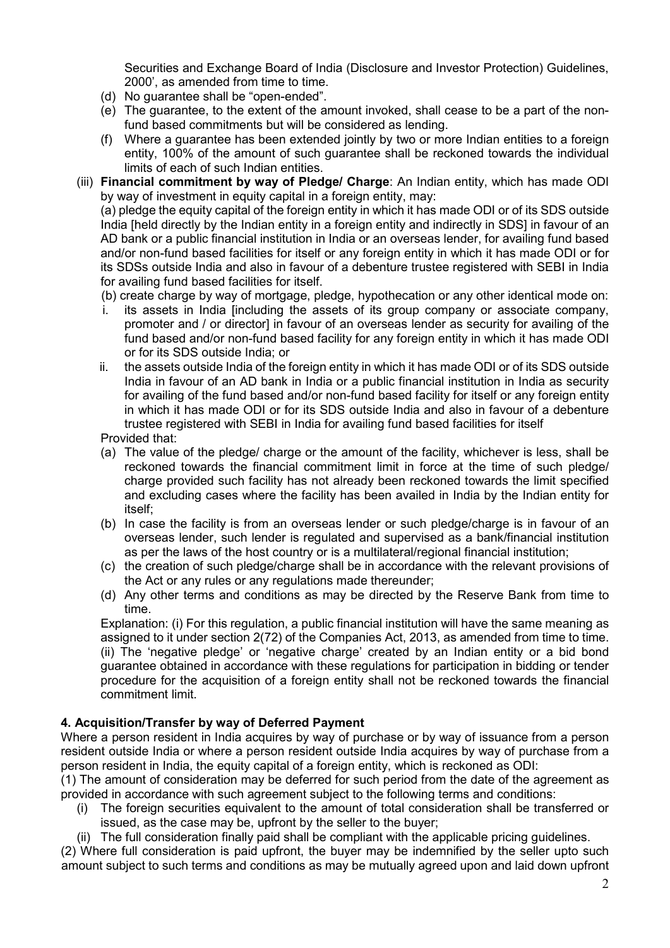Securities and Exchange Board of India (Disclosure and Investor Protection) Guidelines, 2000', as amended from time to time.

- (d) No guarantee shall be "open-ended".
- (e) The guarantee, to the extent of the amount invoked, shall cease to be a part of the nonfund based commitments but will be considered as lending.
- (f) Where a guarantee has been extended jointly by two or more Indian entities to a foreign entity, 100% of the amount of such guarantee shall be reckoned towards the individual limits of each of such Indian entities.
- (iii) **Financial commitment by way of Pledge/ Charge**: An Indian entity, which has made ODI by way of investment in equity capital in a foreign entity, may:

(a) pledge the equity capital of the foreign entity in which it has made ODI or of its SDS outside India [held directly by the Indian entity in a foreign entity and indirectly in SDS] in favour of an AD bank or a public financial institution in India or an overseas lender, for availing fund based and/or non-fund based facilities for itself or any foreign entity in which it has made ODI or for its SDSs outside India and also in favour of a debenture trustee registered with SEBI in India for availing fund based facilities for itself.

- (b) create charge by way of mortgage, pledge, hypothecation or any other identical mode on: i. its assets in India [including the assets of its group company or associate company, promoter and / or director] in favour of an overseas lender as security for availing of the fund based and/or non-fund based facility for any foreign entity in which it has made ODI or for its SDS outside India; or
- ii. the assets outside India of the foreign entity in which it has made ODI or of its SDS outside India in favour of an AD bank in India or a public financial institution in India as security for availing of the fund based and/or non-fund based facility for itself or any foreign entity in which it has made ODI or for its SDS outside India and also in favour of a debenture trustee registered with SEBI in India for availing fund based facilities for itself

Provided that:

- (a) The value of the pledge/ charge or the amount of the facility, whichever is less, shall be reckoned towards the financial commitment limit in force at the time of such pledge/ charge provided such facility has not already been reckoned towards the limit specified and excluding cases where the facility has been availed in India by the Indian entity for itself;
- (b) In case the facility is from an overseas lender or such pledge/charge is in favour of an overseas lender, such lender is regulated and supervised as a bank/financial institution as per the laws of the host country or is a multilateral/regional financial institution;
- (c) the creation of such pledge/charge shall be in accordance with the relevant provisions of the Act or any rules or any regulations made thereunder;
- (d) Any other terms and conditions as may be directed by the Reserve Bank from time to time.

Explanation: (i) For this regulation, a public financial institution will have the same meaning as assigned to it under section 2(72) of the Companies Act, 2013, as amended from time to time. (ii) The 'negative pledge' or 'negative charge' created by an Indian entity or a bid bond guarantee obtained in accordance with these regulations for participation in bidding or tender procedure for the acquisition of a foreign entity shall not be reckoned towards the financial commitment limit.

### **4. Acquisition/Transfer by way of Deferred Payment**

Where a person resident in India acquires by way of purchase or by way of issuance from a person resident outside India or where a person resident outside India acquires by way of purchase from a person resident in India, the equity capital of a foreign entity, which is reckoned as ODI:

(1) The amount of consideration may be deferred for such period from the date of the agreement as provided in accordance with such agreement subject to the following terms and conditions:

- (i) The foreign securities equivalent to the amount of total consideration shall be transferred or issued, as the case may be, upfront by the seller to the buyer;
- (ii) The full consideration finally paid shall be compliant with the applicable pricing guidelines.

(2) Where full consideration is paid upfront, the buyer may be indemnified by the seller upto such amount subject to such terms and conditions as may be mutually agreed upon and laid down upfront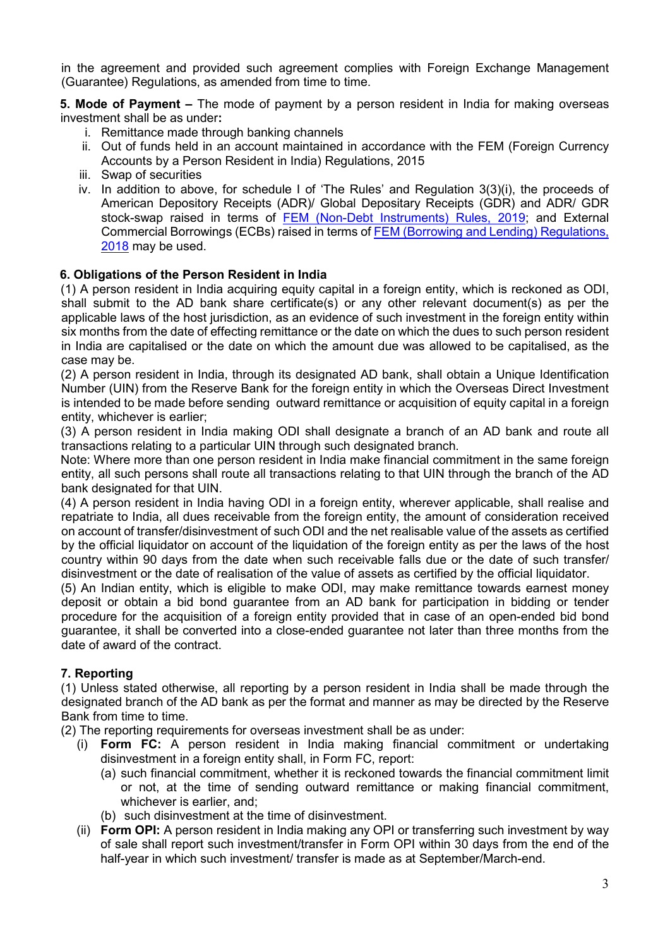in the agreement and provided such agreement complies with Foreign Exchange Management (Guarantee) Regulations, as amended from time to time.

**5. Mode of Payment –** The mode of payment by a person resident in India for making overseas investment shall be as under**:**

- i. Remittance made through banking channels
- ii. Out of funds held in an account maintained in accordance with the FEM (Foreign Currency Accounts by a Person Resident in India) Regulations, 2015
- iii. Swap of securities
- iv. In addition to above, for schedule I of 'The Rules' and Regulation 3(3)(i), the proceeds of American Depository Receipts (ADR)/ Global Depositary Receipts (GDR) and ADR/ GDR stock-swap raised in terms of [FEM \(Non-Debt Instruments\) Rules, 2019;](https://www.rbi.org.in/Scripts/NotificationUser.aspx?Id=11723&Mode=0) and External Commercial Borrowings (ECBs) raised in terms of [FEM \(Borrowing and Lending\) Regulations,](https://www.rbi.org.in/Scripts/NotificationUser.aspx?Id=11441&Mode=0)  [2018](https://www.rbi.org.in/Scripts/NotificationUser.aspx?Id=11441&Mode=0) may be used.

#### **6. Obligations of the Person Resident in India**

(1) A person resident in India acquiring equity capital in a foreign entity, which is reckoned as ODI, shall submit to the AD bank share certificate(s) or any other relevant document(s) as per the applicable laws of the host jurisdiction, as an evidence of such investment in the foreign entity within six months from the date of effecting remittance or the date on which the dues to such person resident in India are capitalised or the date on which the amount due was allowed to be capitalised, as the case may be.

(2) A person resident in India, through its designated AD bank, shall obtain a Unique Identification Number (UIN) from the Reserve Bank for the foreign entity in which the Overseas Direct Investment is intended to be made before sending outward remittance or acquisition of equity capital in a foreign entity, whichever is earlier;

(3) A person resident in India making ODI shall designate a branch of an AD bank and route all transactions relating to a particular UIN through such designated branch.

Note: Where more than one person resident in India make financial commitment in the same foreign entity, all such persons shall route all transactions relating to that UIN through the branch of the AD bank designated for that UIN.

(4) A person resident in India having ODI in a foreign entity, wherever applicable, shall realise and repatriate to India, all dues receivable from the foreign entity, the amount of consideration received on account of transfer/disinvestment of such ODI and the net realisable value of the assets as certified by the official liquidator on account of the liquidation of the foreign entity as per the laws of the host country within 90 days from the date when such receivable falls due or the date of such transfer/ disinvestment or the date of realisation of the value of assets as certified by the official liquidator.

(5) An Indian entity, which is eligible to make ODI, may make remittance towards earnest money deposit or obtain a bid bond guarantee from an AD bank for participation in bidding or tender procedure for the acquisition of a foreign entity provided that in case of an open-ended bid bond guarantee, it shall be converted into a close-ended guarantee not later than three months from the date of award of the contract.

### **7. Reporting**

(1) Unless stated otherwise, all reporting by a person resident in India shall be made through the designated branch of the AD bank as per the format and manner as may be directed by the Reserve Bank from time to time.

(2) The reporting requirements for overseas investment shall be as under:

- (i) **Form FC:** A person resident in India making financial commitment or undertaking disinvestment in a foreign entity shall, in Form FC, report:
	- (a) such financial commitment, whether it is reckoned towards the financial commitment limit or not, at the time of sending outward remittance or making financial commitment, whichever is earlier, and;
	- (b) such disinvestment at the time of disinvestment.
- (ii) **Form OPI:** A person resident in India making any OPI or transferring such investment by way of sale shall report such investment/transfer in Form OPI within 30 days from the end of the half-year in which such investment/ transfer is made as at September/March-end.